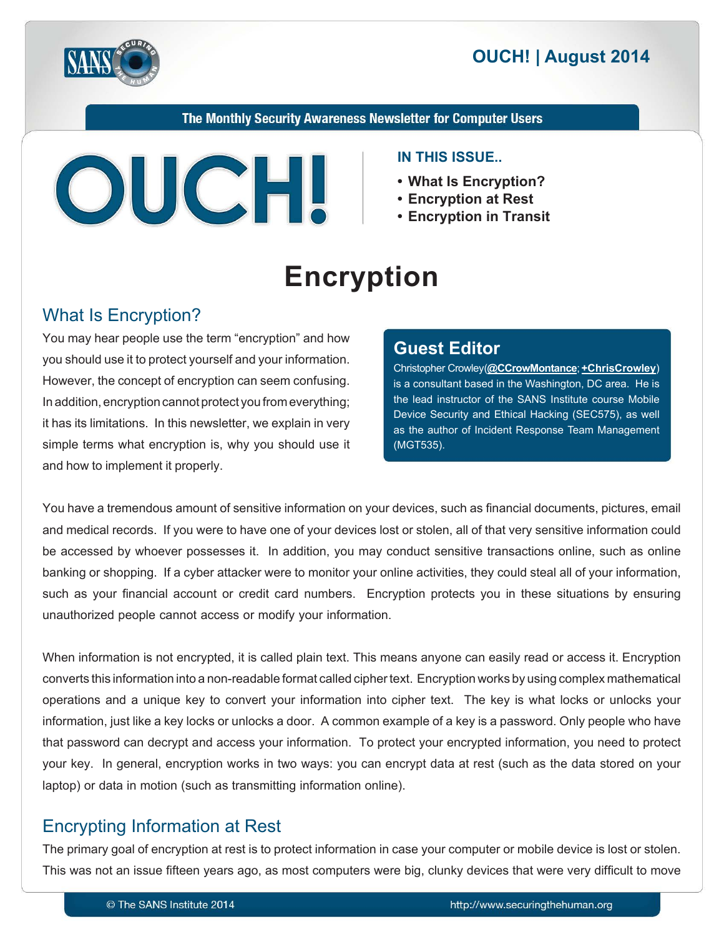

The Monthly Security Awareness Newsletter for Computer Users



#### **IN THIS ISSUE...**

- What Is Encryption?
- Encryption at Rest
- **Encryption in Transit**

# **Encryption**

# What Is Encryption?

You may hear people use the term "encryption" and how you should use it to protect yourself and your information. However, the concept of encryption can seem confusing. In addition, encryption cannot protect you from everything; it has its limitations. In this newsletter, we explain in very simple terms what encryption is, why you should use it and how to implement it properly.

#### **Editor Guest**

(**Christopher Crowley**)<br /> **Containce** (**Christopher Crowley** )</a> is a consultant based in the Washington, DC area. He is the lead instructor of the SANS Institute course Mobile Device Security and Ethical Hacking (SEC575), as well as the author of Incident Response Team Management (MGT535).

You have a tremendous amount of sensitive information on your devices, such as financial documents, pictures, email and medical records. If you were to have one of your devices lost or stolen, all of that very sensitive information could be accessed by whoever possesses it. In addition, you may conduct sensitive transactions online, such as online banking or shopping. If a cyber attacker were to monitor your online activities, they could steal all of your information, such as your financial account or credit card numbers. Encryption protects you in these situations by ensuring unauthorized people cannot access or modify your information.

When information is not encrypted, it is called plain text. This means anyone can easily read or access it. Encryption converts this information into a non-readable format called cipher text. Encryption works by using complex mathematical operations and a unique key to convert your information into cipher text. The key is what locks or unlocks your information, just like a key locks or unlocks a door. A common example of a key is a password. Only people who have that password can decrypt and access your information. To protect your encrypted information, you need to protect your key. In general, encryption works in two ways: you can encrypt data at rest (such as the data stored on your laptop) or data in motion (such as transmitting information online).

# Encrypting Information at Rest

The primary goal of encryption at rest is to protect information in case your computer or mobile device is lost or stolen. This was not an issue fifteen years ago, as most computers were big, clunky devices that were very difficult to move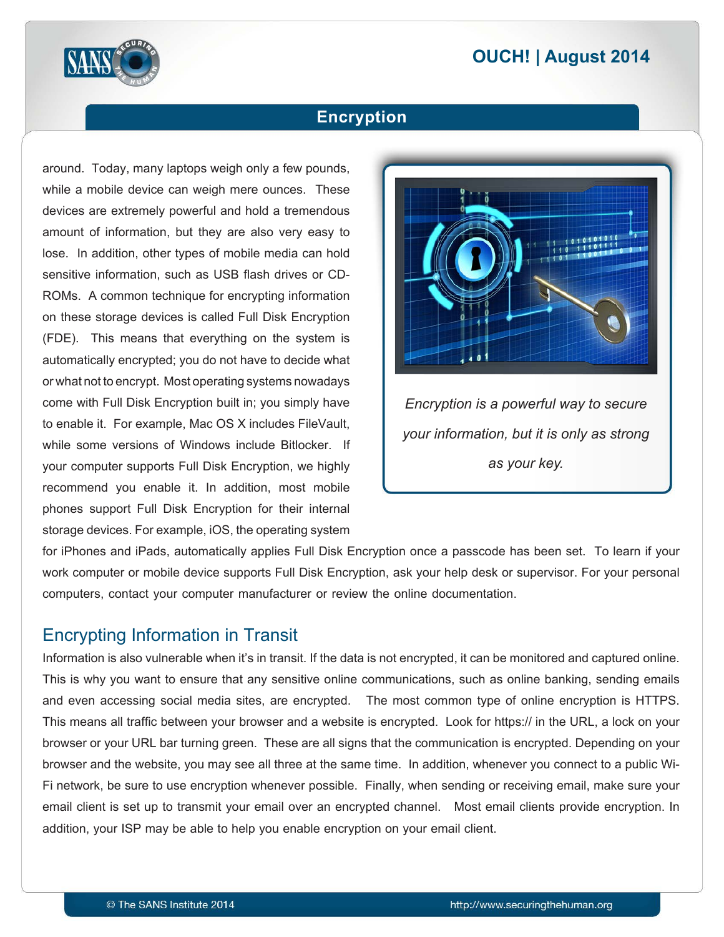# **2014 | OUCH! | August 2014**



## **Encryption**

around. Today, many laptops weigh only a few pounds, while a mobile device can weigh mere ounces. These devices are extremely powerful and hold a tremendous amount of information, but they are also very easy to lose. In addition, other types of mobile media can hold ROMs. A common technique for encrypting information sensitive information, such as USB flash drives or CDon these storage devices is called Full Disk Encryption (FDE). This means that everything on the system is automatically encrypted; you do not have to decide what or what not to encrypt. Most operating systems nowadays come with Full Disk Encryption built in: you simply have to enable it. For example, Mac OS X includes FileVault, while some versions of Windows include Bitlocker. If your computer supports Full Disk Encryption, we highly recommend you enable it. In addition, most mobile phones support Full Disk Encryption for their internal storage devices. For example, iOS, the operating system



for iPhones and iPads, automatically applies Full Disk Encryption once a passcode has been set. To learn if your work computer or mobile device supports Full Disk Encryption, ask your help desk or supervisor. For your personal computers, contact your computer manufacturer or review the online documentation.

#### **Encrypting Information in Transit**

Information is also vulnerable when it's in transit. If the data is not encrypted, it can be monitored and captured online. This is why you want to ensure that any sensitive online communications, such as online banking, sending emails and even accessing social media sites, are encrypted. The most common type of online encryption is HTTPS. This means all traffic between your browser and a website is encrypted. Look for https:// in the URL, a lock on your browser or your URL bar turning green. These are all signs that the communication is encrypted. Depending on your Fi network, be sure to use encryption whenever possible. Finally, when sending or receiving email, make sure your browser and the website, you may see all three at the same time. In addition, whenever you connect to a public Wiemail client is set up to transmit your email over an encrypted channel. Most email clients provide encryption. In addition, your ISP may be able to help you enable encryption on your email client.